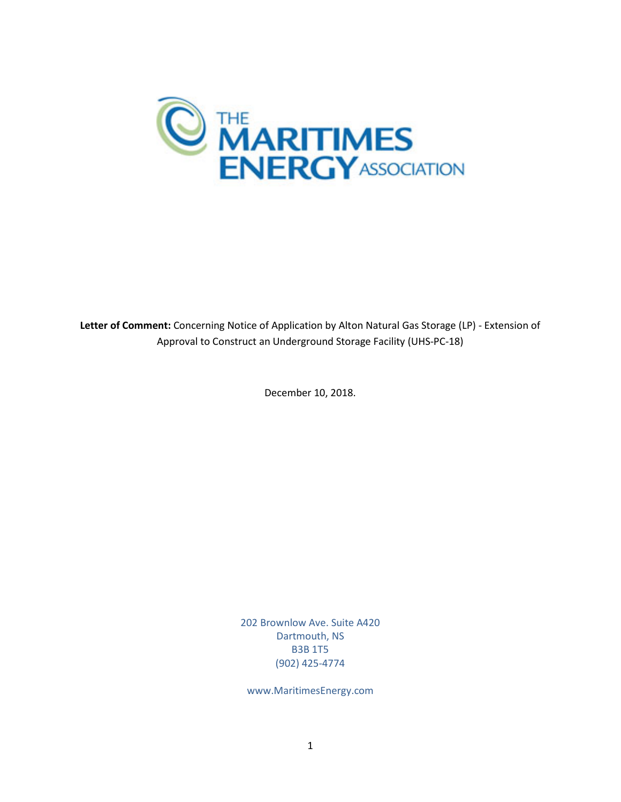

**Letter of Comment:** Concerning Notice of Application by Alton Natural Gas Storage (LP) - Extension of Approval to Construct an Underground Storage Facility (UHS-PC-18)

December 10, 2018.

202 Brownlow Ave. Suite A420 Dartmouth, NS B3B 1T5 (902) 425-4774

www.MaritimesEnergy.com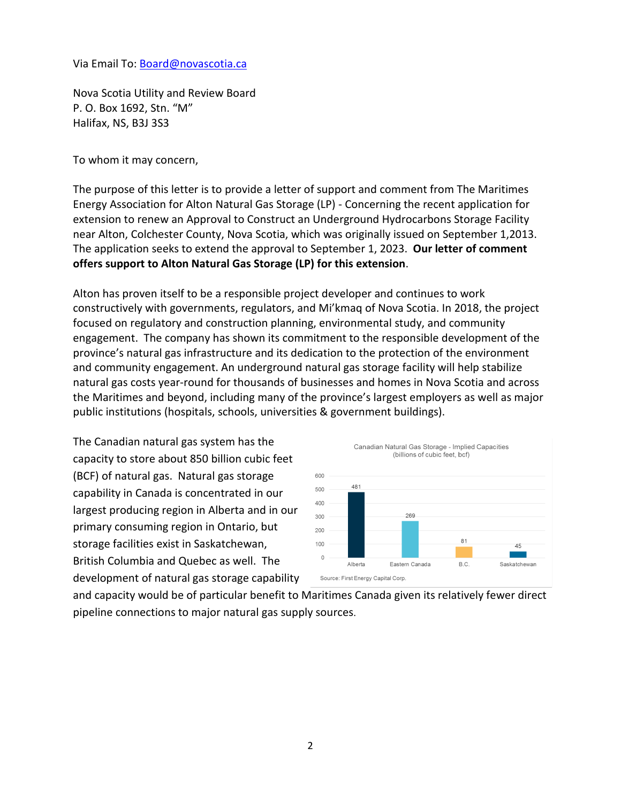Via Email To: [Board@novascotia.ca](mailto:Board@novascotia.ca)

Nova Scotia Utility and Review Board P. O. Box 1692, Stn. "M" Halifax, NS, B3J 3S3

To whom it may concern,

The purpose of this letter is to provide a letter of support and comment from The Maritimes Energy Association for Alton Natural Gas Storage (LP) - Concerning the recent application for extension to renew an Approval to Construct an Underground Hydrocarbons Storage Facility near Alton, Colchester County, Nova Scotia, which was originally issued on September 1,2013. The application seeks to extend the approval to September 1, 2023. **Our letter of comment offers support to Alton Natural Gas Storage (LP) for this extension**.

Alton has proven itself to be a responsible project developer and continues to work constructively with governments, regulators, and Mi'kmaq of Nova Scotia. In 2018, the project focused on regulatory and construction planning, environmental study, and community engagement. The company has shown its commitment to the responsible development of the province's natural gas infrastructure and its dedication to the protection of the environment and community engagement. An underground natural gas storage facility will help stabilize natural gas costs year-round for thousands of businesses and homes in Nova Scotia and across the Maritimes and beyond, including many of the province's largest employers as well as major public institutions (hospitals, schools, universities & government buildings).

The Canadian natural gas system has the capacity to store about 850 billion cubic feet (BCF) of natural gas. Natural gas storage capability in Canada is concentrated in our largest producing region in Alberta and in our primary consuming region in Ontario, but storage facilities exist in Saskatchewan, British Columbia and Quebec as well. The development of natural gas storage capability



and capacity would be of particular benefit to Maritimes Canada given its relatively fewer direct pipeline connections to major natural gas supply sources.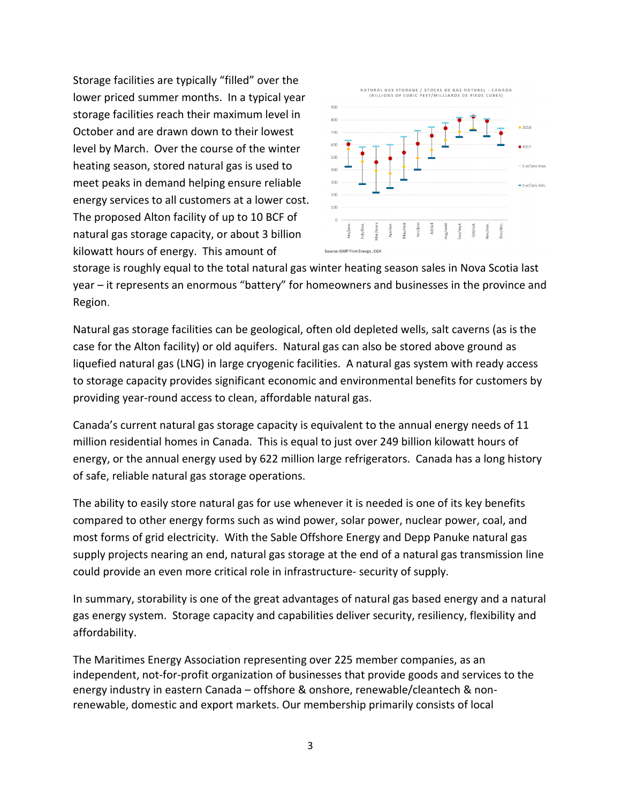Storage facilities are typically "filled" over the lower priced summer months. In a typical year storage facilities reach their maximum level in October and are drawn down to their lowest level by March. Over the course of the winter heating season, stored natural gas is used to meet peaks in demand helping ensure reliable energy services to all customers at a lower cost. The proposed Alton facility of up to 10 BCF of natural gas storage capacity, or about 3 billion kilowatt hours of energy. This amount of



storage is roughly equal to the total natural gas winter heating season sales in Nova Scotia last year – it represents an enormous "battery" for homeowners and businesses in the province and Region.

Natural gas storage facilities can be geological, often old depleted wells, salt caverns (as is the case for the Alton facility) or old aquifers. Natural gas can also be stored above ground as liquefied natural gas (LNG) in large cryogenic facilities. A natural gas system with ready access to storage capacity provides significant economic and environmental benefits for customers by providing year-round access to clean, affordable natural gas.

Canada's current natural gas storage capacity is equivalent to the annual energy needs of 11 million residential homes in Canada. This is equal to just over 249 billion kilowatt hours of energy, or the annual energy used by 622 million large refrigerators. Canada has a long history of safe, reliable natural gas storage operations.

The ability to easily store natural gas for use whenever it is needed is one of its key benefits compared to other energy forms such as wind power, solar power, nuclear power, coal, and most forms of grid electricity. With the Sable Offshore Energy and Depp Panuke natural gas supply projects nearing an end, natural gas storage at the end of a natural gas transmission line could provide an even more critical role in infrastructure- security of supply.

In summary, storability is one of the great advantages of natural gas based energy and a natural gas energy system. Storage capacity and capabilities deliver security, resiliency, flexibility and affordability.

The Maritimes Energy Association representing over 225 member companies, as an independent, not-for-profit organization of businesses that provide goods and services to the energy industry in eastern Canada – offshore & onshore, renewable/cleantech & nonrenewable, domestic and export markets. Our membership primarily consists of local